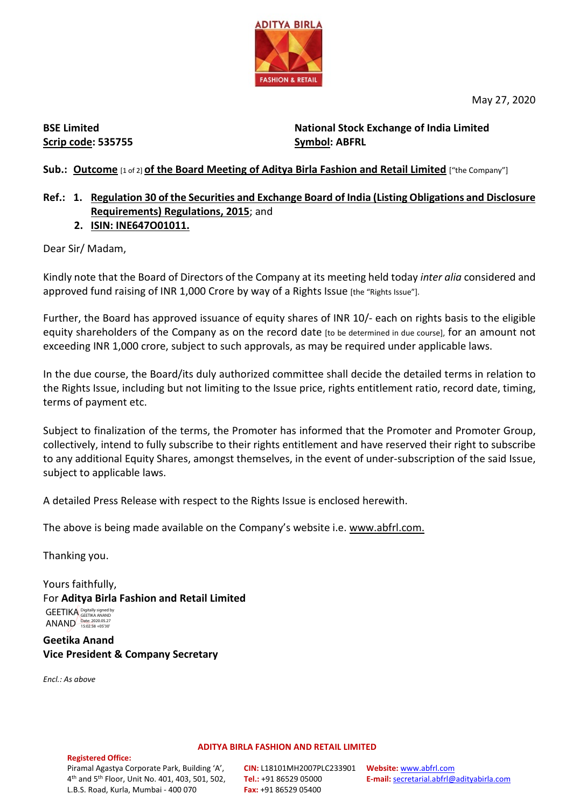

May 27, 2020

**BSE Limited Scrip code: 535755**

**National Stock Exchange of India Limited Symbol: ABFRL**

### **Sub.: Outcome** [1 of 2] **of the Board Meeting of Aditya Birla Fashion and Retail Limited** ["the Company"]

## **Ref.: 1. Regulation 30 of the Securities and Exchange Board of India (Listing Obligations and Disclosure Requirements) Regulations, 2015**; and

 **2. ISIN: INE647O01011.**

Dear Sir/ Madam,

Kindly note that the Board of Directors of the Company at its meeting held today *inter alia* considered and approved fund raising of INR 1,000 Crore by way of a Rights Issue [the "Rights Issue"].

Further, the Board has approved issuance of equity shares of INR 10/- each on rights basis to the eligible equity shareholders of the Company as on the record date [to be determined in due course], for an amount not exceeding INR 1,000 crore, subject to such approvals, as may be required under applicable laws.

In the due course, the Board/its duly authorized committee shall decide the detailed terms in relation to the Rights Issue, including but not limiting to the Issue price, rights entitlement ratio, record date, timing, terms of payment etc.

Subject to finalization of the terms, the Promoter has informed that the Promoter and Promoter Group, collectively, intend to fully subscribe to their rights entitlement and have reserved their right to subscribe to any additional Equity Shares, amongst themselves, in the event of under-subscription of the said Issue, subject to applicable laws.

A detailed Press Release with respect to the Rights Issue is enclosed herewith.

The above is being made available on the Company's website i.e. [www.abfrl.com.](http://www.abfrl.com/)

Thanking you.

Yours faithfully, For **Aditya Birla Fashion and Retail Limited**

GEETIKA Digitally signed by ANAND Date: 2020.05.27

**Geetika Anand Vice President & Company Secretary**

*Encl.: As above*

**ADITYA BIRLA FASHION AND RETAIL LIMITED**

#### **Registered Office:**

**CIN:** L18101MH2007PLC233901 **Tel.:** +91 86529 05000 **Fax:** +91 86529 05400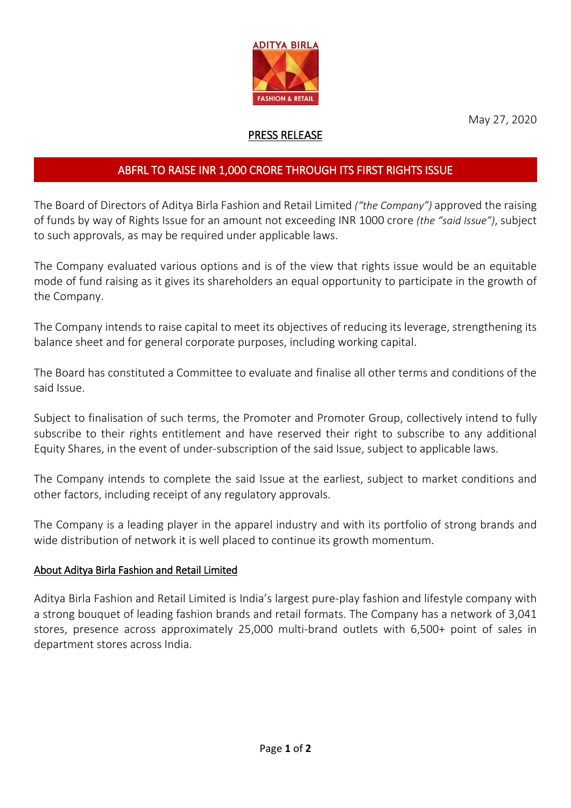

May 27, 2020

## PRESS RELEASE

# ABFRL TO RAISE INR 1,000 CRORE THROUGH ITS FIRST RIGHTS ISSUE

The Board of Directors of Aditya Birla Fashion and Retail Limited *("the Company")* approved the raising of funds by way of Rights Issue for an amount not exceeding INR 1000 crore *(the "said Issue")*, subject to such approvals, as may be required under applicable laws.

The Company evaluated various options and is of the view that rights issue would be an equitable mode of fund raising as it gives its shareholders an equal opportunity to participate in the growth of the Company.

The Company intends to raise capital to meet its objectives of reducing its leverage, strengthening its balance sheet and for general corporate purposes, including working capital.

The Board has constituted a Committee to evaluate and finalise all other terms and conditions of the said Issue.

Subject to finalisation of such terms, the Promoter and Promoter Group, collectively intend to fully subscribe to their rights entitlement and have reserved their right to subscribe to any additional Equity Shares, in the event of under-subscription of the said Issue, subject to applicable laws.

The Company intends to complete the said Issue at the earliest, subject to market conditions and other factors, including receipt of any regulatory approvals.

The Company is a leading player in the apparel industry and with its portfolio of strong brands and wide distribution of network it is well placed to continue its growth momentum.

### About Aditya Birla Fashion and Retail Limited

Aditya Birla Fashion and Retail Limited is India's largest pure-play fashion and lifestyle company with a strong bouquet of leading fashion brands and retail formats. The Company has a network of 3,041 stores, presence across approximately 25,000 multi-brand outlets with 6,500+ point of sales in department stores across India.